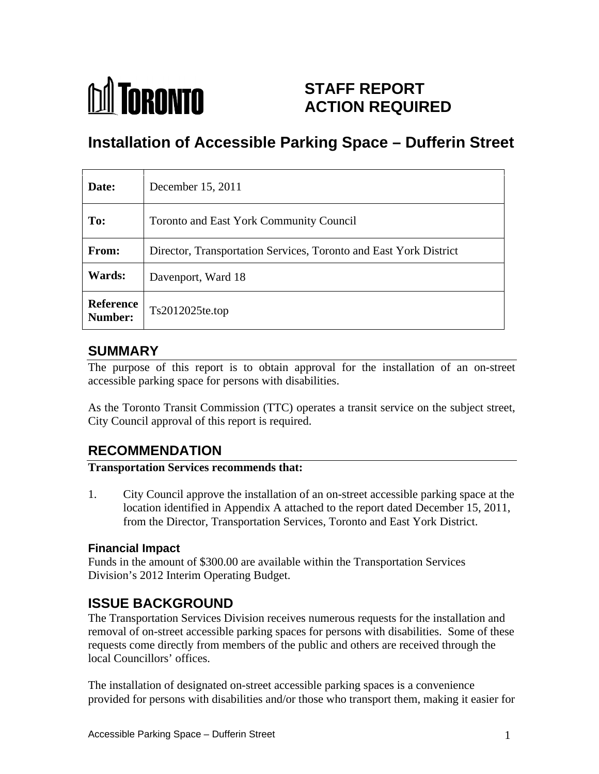

# **STAFF REPORT ACTION REQUIRED**

# **Installation of Accessible Parking Space – Dufferin Street**

| Date:                       | December 15, 2011                                                 |
|-----------------------------|-------------------------------------------------------------------|
| To:                         | Toronto and East York Community Council                           |
| <b>From:</b>                | Director, Transportation Services, Toronto and East York District |
| <b>Wards:</b>               | Davenport, Ward 18                                                |
| <b>Reference</b><br>Number: | Ts2012025te.top                                                   |

### **SUMMARY**

The purpose of this report is to obtain approval for the installation of an on-street accessible parking space for persons with disabilities.

As the Toronto Transit Commission (TTC) operates a transit service on the subject street, City Council approval of this report is required.

# **RECOMMENDATION**

#### **Transportation Services recommends that:**

1. City Council approve the installation of an on-street accessible parking space at the location identified in Appendix A attached to the report dated December 15, 2011, from the Director, Transportation Services, Toronto and East York District.

### **Financial Impact**

Funds in the amount of \$300.00 are available within the Transportation Services Division's 2012 Interim Operating Budget.

# **ISSUE BACKGROUND**

The Transportation Services Division receives numerous requests for the installation and removal of on-street accessible parking spaces for persons with disabilities. Some of these requests come directly from members of the public and others are received through the local Councillors' offices.

The installation of designated on-street accessible parking spaces is a convenience provided for persons with disabilities and/or those who transport them, making it easier for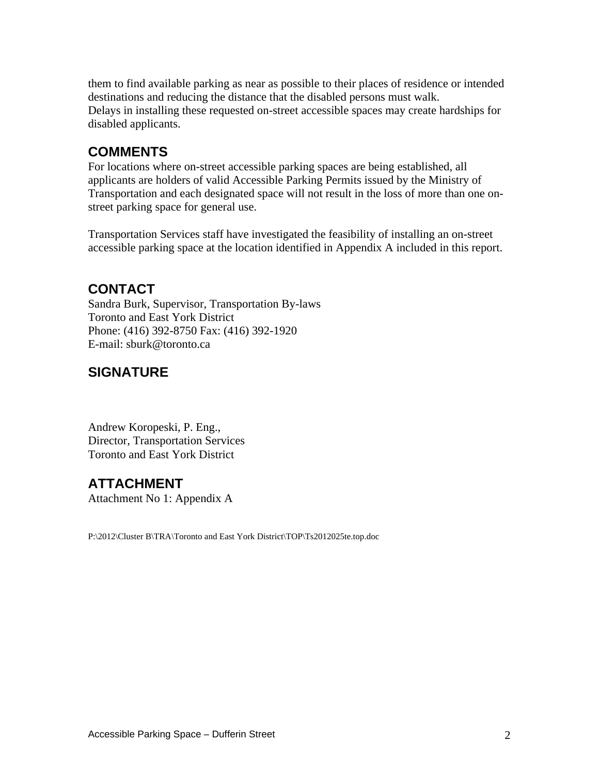them to find available parking as near as possible to their places of residence or intended destinations and reducing the distance that the disabled persons must walk. Delays in installing these requested on-street accessible spaces may create hardships for disabled applicants.

# **COMMENTS**

For locations where on-street accessible parking spaces are being established, all applicants are holders of valid Accessible Parking Permits issued by the Ministry of Transportation and each designated space will not result in the loss of more than one on street parking space for general use.

Transportation Services staff have investigated the feasibility of installing an on-street accessible parking space at the location identified in Appendix A included in this report.

# **CONTACT**

Sandra Burk, Supervisor, Transportation By-laws Toronto and East York District Phone: (416) 392-8750 Fax: (416) 392-1920 E-mail: sburk@toronto.ca

# **SIGNATURE**

Andrew Koropeski, P. Eng., Director, Transportation Services Toronto and East York District

# **ATTACHMENT**

Attachment No 1: Appendix A

P:\2012\Cluster B\TRA\Toronto and East York District\TOP\Ts2012025te.top.doc